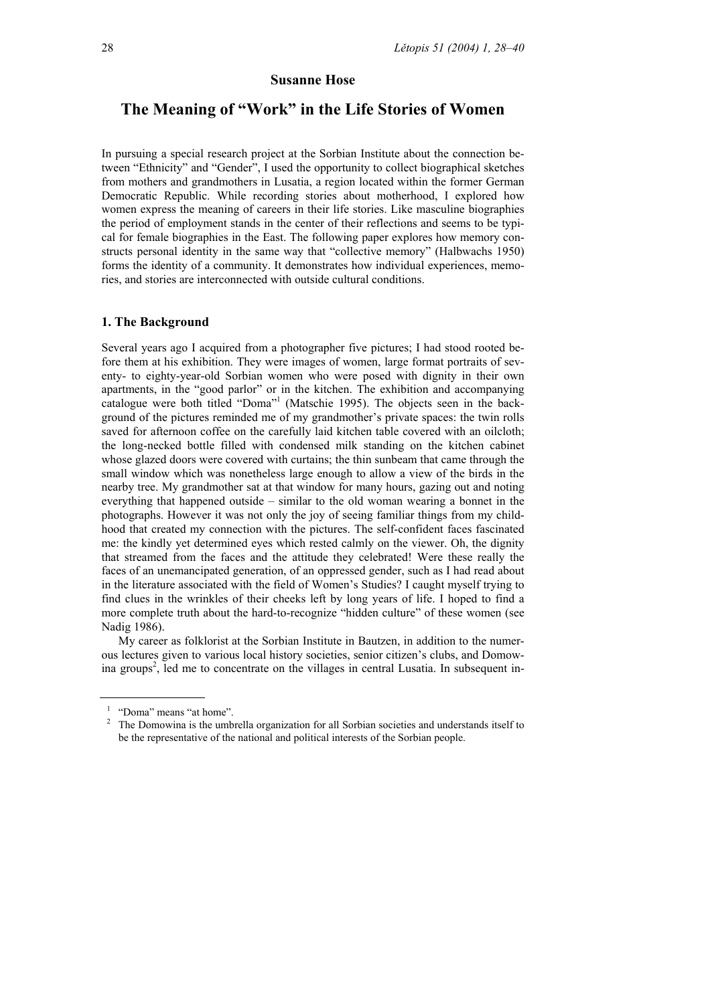### **Susanne Hose**

# **The Meaning of "Work" in the Life Stories of Women**

In pursuing a special research project at the Sorbian Institute about the connection between "Ethnicity" and "Gender", I used the opportunity to collect biographical sketches from mothers and grandmothers in Lusatia, a region located within the former German Democratic Republic. While recording stories about motherhood, I explored how women express the meaning of careers in their life stories. Like masculine biographies the period of employment stands in the center of their reflections and seems to be typical for female biographies in the East. The following paper explores how memory constructs personal identity in the same way that "collective memory" (Halbwachs 1950) forms the identity of a community. It demonstrates how individual experiences, memories, and stories are interconnected with outside cultural conditions.

### **1. The Background**

Several years ago I acquired from a photographer five pictures; I had stood rooted before them at his exhibition. They were images of women, large format portraits of seventy- to eighty-year-old Sorbian women who were posed with dignity in their own apartments, in the "good parlor" or in the kitchen. The exhibition and accompanying catalogue were both titled "Doma"<sup>1</sup> (Matschie 1995). The objects seen in the background of the pictures reminded me of my grandmother's private spaces: the twin rolls saved for afternoon coffee on the carefully laid kitchen table covered with an oilcloth; the long-necked bottle filled with condensed milk standing on the kitchen cabinet whose glazed doors were covered with curtains; the thin sunbeam that came through the small window which was nonetheless large enough to allow a view of the birds in the nearby tree. My grandmother sat at that window for many hours, gazing out and noting everything that happened outside – similar to the old woman wearing a bonnet in the photographs. However it was not only the joy of seeing familiar things from my childhood that created my connection with the pictures. The self-confident faces fascinated me: the kindly yet determined eyes which rested calmly on the viewer. Oh, the dignity that streamed from the faces and the attitude they celebrated! Were these really the faces of an unemancipated generation, of an oppressed gender, such as I had read about in the literature associated with the field of Women's Studies? I caught myself trying to find clues in the wrinkles of their cheeks left by long years of life. I hoped to find a more complete truth about the hard-to-recognize "hidden culture" of these women (see Nadig 1986).

 My career as folklorist at the Sorbian Institute in Bautzen, in addition to the numerous lectures given to various local history societies, senior citizen's clubs, and Domowina groups<sup>2</sup>, led me to concentrate on the villages in central Lusatia. In subsequent in-

<sup>&</sup>lt;sup>1</sup> "Doma" means "at home".

<sup>&</sup>lt;sup>2</sup> The Domowina is the umbrella organization for all Sorbian societies and understands itself to be the representative of the national and political interests of the Sorbian people.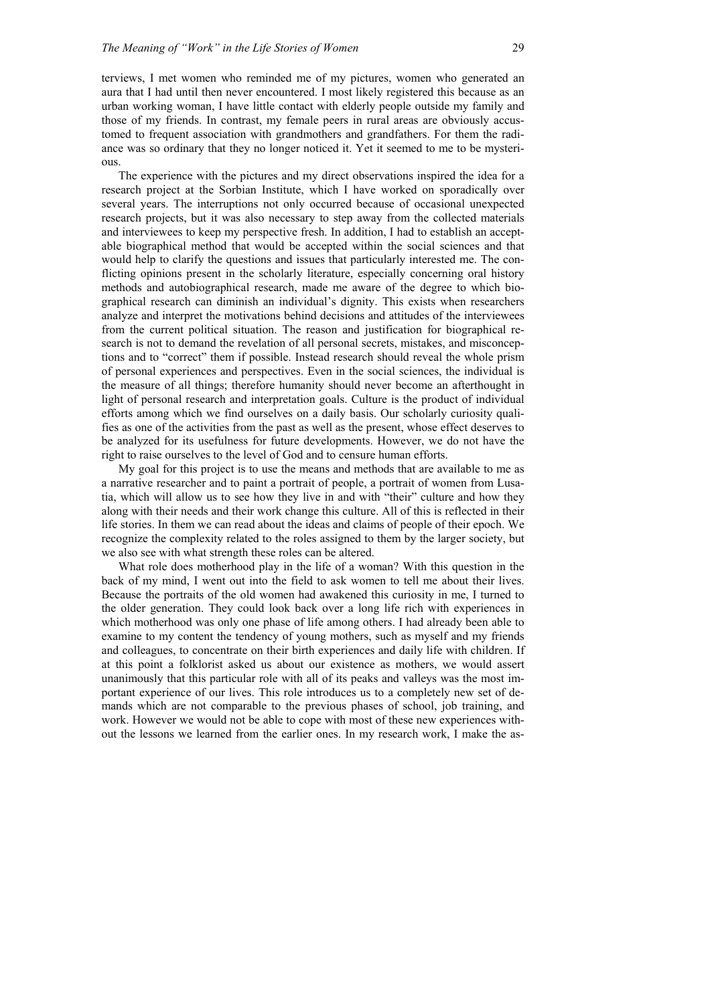terviews, I met women who reminded me of my pictures, women who generated an aura that I had until then never encountered. I most likely registered this because as an urban working woman, I have little contact with elderly people outside my family and those of my friends. In contrast, my female peers in rural areas are obviously accustomed to frequent association with grandmothers and grandfathers. For them the radiance was so ordinary that they no longer noticed it. Yet it seemed to me to be mysterious.

 The experience with the pictures and my direct observations inspired the idea for a research project at the Sorbian Institute, which I have worked on sporadically over several years. The interruptions not only occurred because of occasional unexpected research projects, but it was also necessary to step away from the collected materials and interviewees to keep my perspective fresh. In addition, I had to establish an acceptable biographical method that would be accepted within the social sciences and that would help to clarify the questions and issues that particularly interested me. The conflicting opinions present in the scholarly literature, especially concerning oral history methods and autobiographical research, made me aware of the degree to which biographical research can diminish an individual's dignity. This exists when researchers analyze and interpret the motivations behind decisions and attitudes of the interviewees from the current political situation. The reason and justification for biographical research is not to demand the revelation of all personal secrets, mistakes, and misconceptions and to "correct" them if possible. Instead research should reveal the whole prism of personal experiences and perspectives. Even in the social sciences, the individual is the measure of all things; therefore humanity should never become an afterthought in light of personal research and interpretation goals. Culture is the product of individual efforts among which we find ourselves on a daily basis. Our scholarly curiosity qualifies as one of the activities from the past as well as the present, whose effect deserves to be analyzed for its usefulness for future developments. However, we do not have the right to raise ourselves to the level of God and to censure human efforts.

 My goal for this project is to use the means and methods that are available to me as a narrative researcher and to paint a portrait of people, a portrait of women from Lusatia, which will allow us to see how they live in and with "their" culture and how they along with their needs and their work change this culture. All of this is reflected in their life stories. In them we can read about the ideas and claims of people of their epoch. We recognize the complexity related to the roles assigned to them by the larger society, but we also see with what strength these roles can be altered.

 What role does motherhood play in the life of a woman? With this question in the back of my mind, I went out into the field to ask women to tell me about their lives. Because the portraits of the old women had awakened this curiosity in me, I turned to the older generation. They could look back over a long life rich with experiences in which motherhood was only one phase of life among others. I had already been able to examine to my content the tendency of young mothers, such as myself and my friends and colleagues, to concentrate on their birth experiences and daily life with children. If at this point a folklorist asked us about our existence as mothers, we would assert unanimously that this particular role with all of its peaks and valleys was the most important experience of our lives. This role introduces us to a completely new set of demands which are not comparable to the previous phases of school, job training, and work. However we would not be able to cope with most of these new experiences without the lessons we learned from the earlier ones. In my research work, I make the as-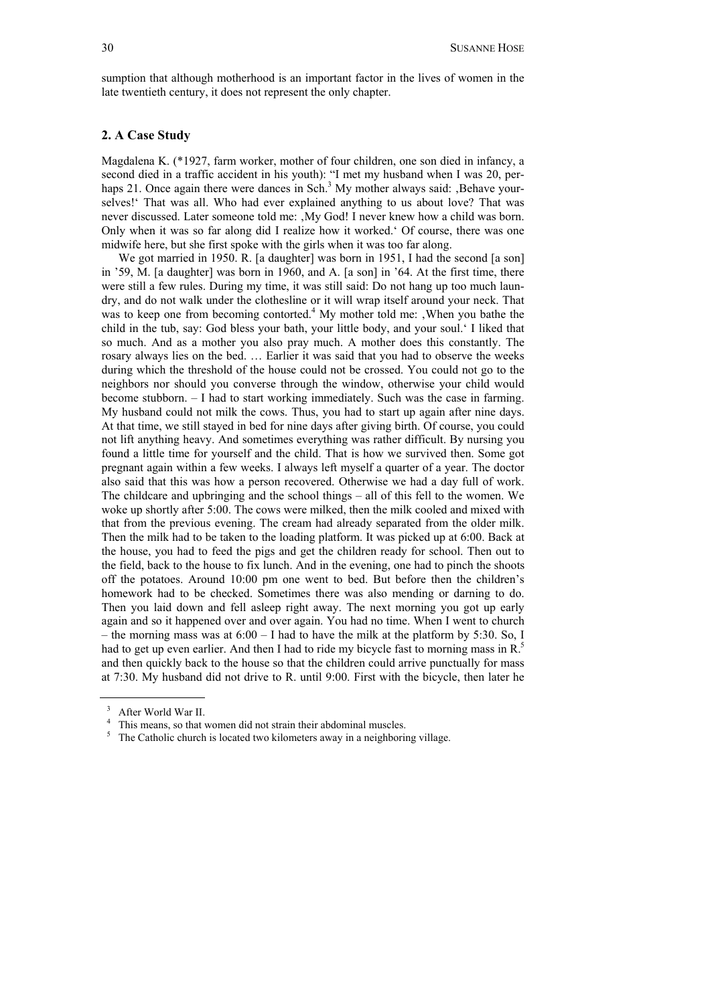sumption that although motherhood is an important factor in the lives of women in the late twentieth century, it does not represent the only chapter.

## **2. A Case Study**

Magdalena K. (\*1927, farm worker, mother of four children, one son died in infancy, a second died in a traffic accident in his youth): "I met my husband when I was 20, perhaps 21. Once again there were dances in Sch.<sup>3</sup> My mother always said: , Behave yourselves!' That was all. Who had ever explained anything to us about love? That was never discussed. Later someone told me: , My God! I never knew how a child was born. Only when it was so far along did I realize how it worked.' Of course, there was one midwife here, but she first spoke with the girls when it was too far along.

We got married in 1950. R. [a daughter] was born in 1951, I had the second [a son] in '59, M. [a daughter] was born in 1960, and A. [a son] in '64. At the first time, there were still a few rules. During my time, it was still said: Do not hang up too much laundry, and do not walk under the clothesline or it will wrap itself around your neck. That was to keep one from becoming contorted.<sup>4</sup> My mother told me: , When you bathe the child in the tub, say: God bless your bath, your little body, and your soul.' I liked that so much. And as a mother you also pray much. A mother does this constantly. The rosary always lies on the bed. … Earlier it was said that you had to observe the weeks during which the threshold of the house could not be crossed. You could not go to the neighbors nor should you converse through the window, otherwise your child would become stubborn. – I had to start working immediately. Such was the case in farming. My husband could not milk the cows. Thus, you had to start up again after nine days. At that time, we still stayed in bed for nine days after giving birth. Of course, you could not lift anything heavy. And sometimes everything was rather difficult. By nursing you found a little time for yourself and the child. That is how we survived then. Some got pregnant again within a few weeks. I always left myself a quarter of a year. The doctor also said that this was how a person recovered. Otherwise we had a day full of work. The childcare and upbringing and the school things – all of this fell to the women. We woke up shortly after 5:00. The cows were milked, then the milk cooled and mixed with that from the previous evening. The cream had already separated from the older milk. Then the milk had to be taken to the loading platform. It was picked up at 6:00. Back at the house, you had to feed the pigs and get the children ready for school. Then out to the field, back to the house to fix lunch. And in the evening, one had to pinch the shoots off the potatoes. Around 10:00 pm one went to bed. But before then the children's homework had to be checked. Sometimes there was also mending or darning to do. Then you laid down and fell asleep right away. The next morning you got up early again and so it happened over and over again. You had no time. When I went to church – the morning mass was at  $6:00 - I$  had to have the milk at the platform by 5:30. So, I had to get up even earlier. And then I had to ride my bicycle fast to morning mass in R.<sup>5</sup> and then quickly back to the house so that the children could arrive punctually for mass at 7:30. My husband did not drive to R. until 9:00. First with the bicycle, then later he

3 After World War II.

<sup>&</sup>lt;sup>4</sup> This means, so that women did not strain their abdominal muscles.

<sup>&</sup>lt;sup>5</sup> The Catholic church is located two kilometers away in a neighboring village.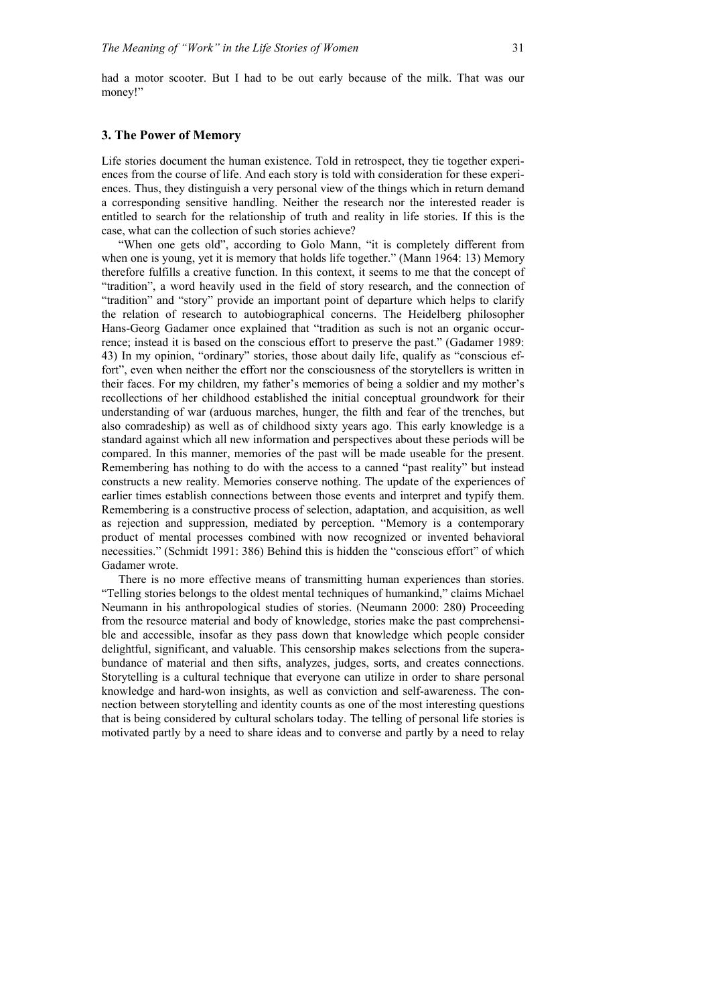had a motor scooter. But I had to be out early because of the milk. That was our money!"

## **3. The Power of Memory**

Life stories document the human existence. Told in retrospect, they tie together experiences from the course of life. And each story is told with consideration for these experiences. Thus, they distinguish a very personal view of the things which in return demand a corresponding sensitive handling. Neither the research nor the interested reader is entitled to search for the relationship of truth and reality in life stories. If this is the case, what can the collection of such stories achieve?

 "When one gets old", according to Golo Mann, "it is completely different from when one is young, yet it is memory that holds life together." (Mann 1964: 13) Memory therefore fulfills a creative function. In this context, it seems to me that the concept of "tradition", a word heavily used in the field of story research, and the connection of "tradition" and "story" provide an important point of departure which helps to clarify the relation of research to autobiographical concerns. The Heidelberg philosopher Hans-Georg Gadamer once explained that "tradition as such is not an organic occurrence; instead it is based on the conscious effort to preserve the past." (Gadamer 1989: 43) In my opinion, "ordinary" stories, those about daily life, qualify as "conscious effort", even when neither the effort nor the consciousness of the storytellers is written in their faces. For my children, my father's memories of being a soldier and my mother's recollections of her childhood established the initial conceptual groundwork for their understanding of war (arduous marches, hunger, the filth and fear of the trenches, but also comradeship) as well as of childhood sixty years ago. This early knowledge is a standard against which all new information and perspectives about these periods will be compared. In this manner, memories of the past will be made useable for the present. Remembering has nothing to do with the access to a canned "past reality" but instead constructs a new reality. Memories conserve nothing. The update of the experiences of earlier times establish connections between those events and interpret and typify them. Remembering is a constructive process of selection, adaptation, and acquisition, as well as rejection and suppression, mediated by perception. "Memory is a contemporary product of mental processes combined with now recognized or invented behavioral necessities." (Schmidt 1991: 386) Behind this is hidden the "conscious effort" of which Gadamer wrote.

 There is no more effective means of transmitting human experiences than stories. "Telling stories belongs to the oldest mental techniques of humankind," claims Michael Neumann in his anthropological studies of stories. (Neumann 2000: 280) Proceeding from the resource material and body of knowledge, stories make the past comprehensible and accessible, insofar as they pass down that knowledge which people consider delightful, significant, and valuable. This censorship makes selections from the superabundance of material and then sifts, analyzes, judges, sorts, and creates connections. Storytelling is a cultural technique that everyone can utilize in order to share personal knowledge and hard-won insights, as well as conviction and self-awareness. The connection between storytelling and identity counts as one of the most interesting questions that is being considered by cultural scholars today. The telling of personal life stories is motivated partly by a need to share ideas and to converse and partly by a need to relay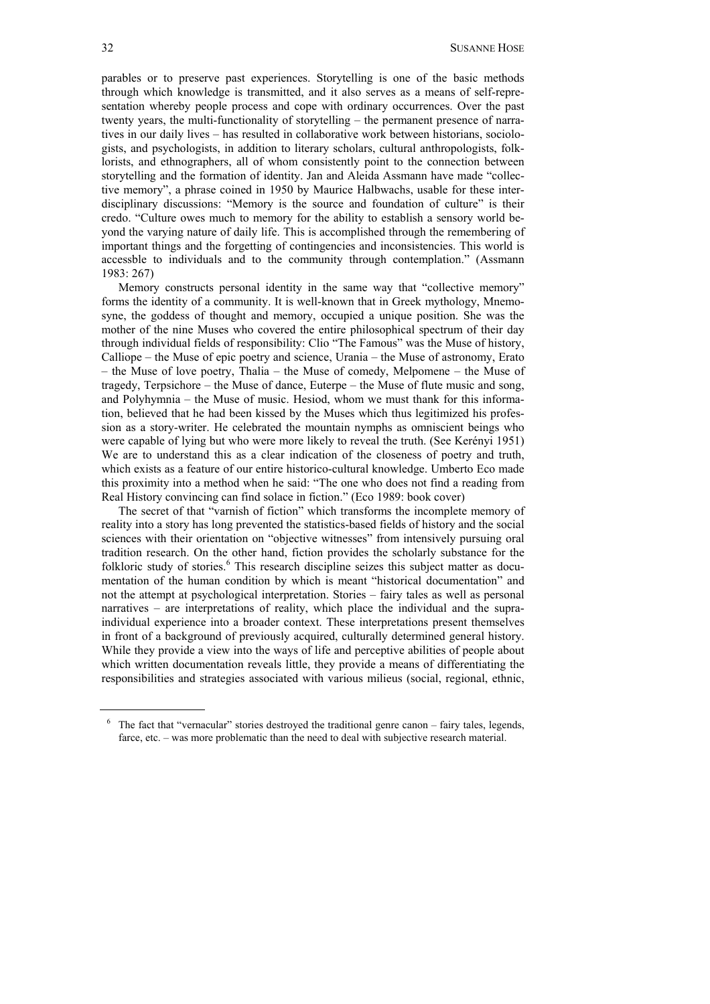parables or to preserve past experiences. Storytelling is one of the basic methods through which knowledge is transmitted, and it also serves as a means of self-representation whereby people process and cope with ordinary occurrences. Over the past twenty years, the multi-functionality of storytelling – the permanent presence of narratives in our daily lives – has resulted in collaborative work between historians, sociologists, and psychologists, in addition to literary scholars, cultural anthropologists, folklorists, and ethnographers, all of whom consistently point to the connection between storytelling and the formation of identity. Jan and Aleida Assmann have made "collective memory", a phrase coined in 1950 by Maurice Halbwachs, usable for these interdisciplinary discussions: "Memory is the source and foundation of culture" is their credo. "Culture owes much to memory for the ability to establish a sensory world beyond the varying nature of daily life. This is accomplished through the remembering of important things and the forgetting of contingencies and inconsistencies. This world is accessble to individuals and to the community through contemplation." (Assmann 1983: 267)

 Memory constructs personal identity in the same way that "collective memory" forms the identity of a community. It is well-known that in Greek mythology, Mnemosyne, the goddess of thought and memory, occupied a unique position. She was the mother of the nine Muses who covered the entire philosophical spectrum of their day through individual fields of responsibility: Clio "The Famous" was the Muse of history, Calliope – the Muse of epic poetry and science, Urania – the Muse of astronomy, Erato – the Muse of love poetry, Thalia – the Muse of comedy, Melpomene – the Muse of tragedy, Terpsichore – the Muse of dance, Euterpe – the Muse of flute music and song, and Polyhymnia – the Muse of music. Hesiod, whom we must thank for this information, believed that he had been kissed by the Muses which thus legitimized his profession as a story-writer. He celebrated the mountain nymphs as omniscient beings who were capable of lying but who were more likely to reveal the truth. (See Kerényi 1951) We are to understand this as a clear indication of the closeness of poetry and truth, which exists as a feature of our entire historico-cultural knowledge. Umberto Eco made this proximity into a method when he said: "The one who does not find a reading from Real History convincing can find solace in fiction." (Eco 1989: book cover)

 The secret of that "varnish of fiction" which transforms the incomplete memory of reality into a story has long prevented the statistics-based fields of history and the social sciences with their orientation on "objective witnesses" from intensively pursuing oral tradition research. On the other hand, fiction provides the scholarly substance for the folkloric study of stories.<sup>6</sup> This research discipline seizes this subject matter as documentation of the human condition by which is meant "historical documentation" and not the attempt at psychological interpretation. Stories – fairy tales as well as personal narratives – are interpretations of reality, which place the individual and the supraindividual experience into a broader context. These interpretations present themselves in front of a background of previously acquired, culturally determined general history. While they provide a view into the ways of life and perceptive abilities of people about which written documentation reveals little, they provide a means of differentiating the responsibilities and strategies associated with various milieus (social, regional, ethnic,

<sup>&</sup>lt;sup>6</sup> The fact that "vernacular" stories destroyed the traditional genre canon – fairy tales, legends, farce, etc. – was more problematic than the need to deal with subjective research material.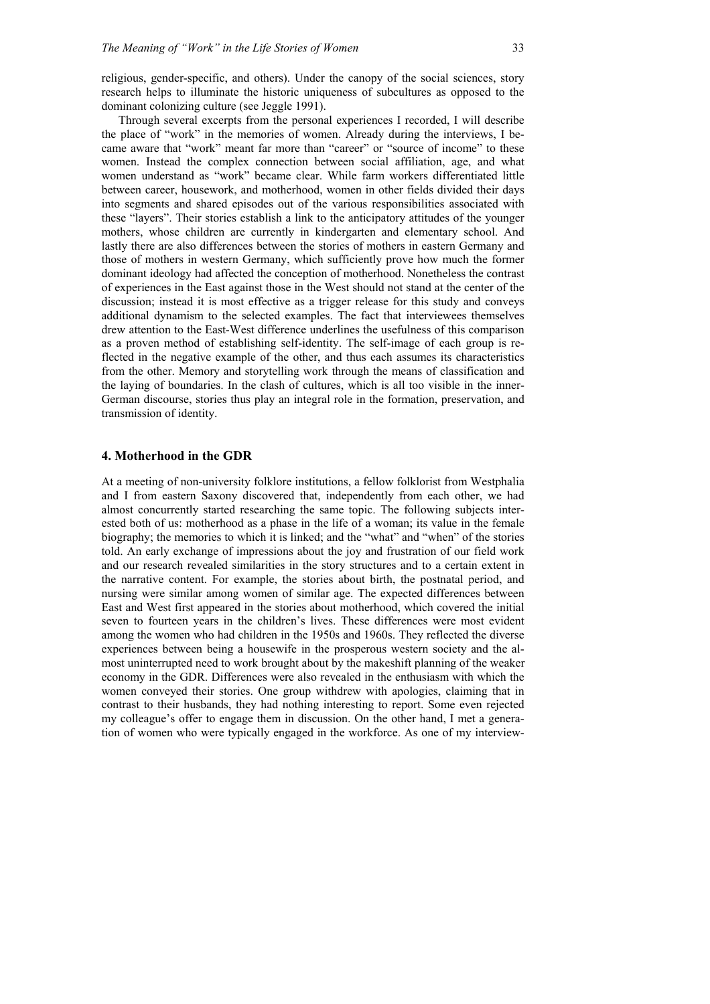religious, gender-specific, and others). Under the canopy of the social sciences, story research helps to illuminate the historic uniqueness of subcultures as opposed to the dominant colonizing culture (see Jeggle 1991).

 Through several excerpts from the personal experiences I recorded, I will describe the place of "work" in the memories of women. Already during the interviews, I became aware that "work" meant far more than "career" or "source of income" to these women. Instead the complex connection between social affiliation, age, and what women understand as "work" became clear. While farm workers differentiated little between career, housework, and motherhood, women in other fields divided their days into segments and shared episodes out of the various responsibilities associated with these "layers". Their stories establish a link to the anticipatory attitudes of the younger mothers, whose children are currently in kindergarten and elementary school. And lastly there are also differences between the stories of mothers in eastern Germany and those of mothers in western Germany, which sufficiently prove how much the former dominant ideology had affected the conception of motherhood. Nonetheless the contrast of experiences in the East against those in the West should not stand at the center of the discussion; instead it is most effective as a trigger release for this study and conveys additional dynamism to the selected examples. The fact that interviewees themselves drew attention to the East-West difference underlines the usefulness of this comparison as a proven method of establishing self-identity. The self-image of each group is reflected in the negative example of the other, and thus each assumes its characteristics from the other. Memory and storytelling work through the means of classification and the laying of boundaries. In the clash of cultures, which is all too visible in the inner-German discourse, stories thus play an integral role in the formation, preservation, and transmission of identity.

#### **4. Motherhood in the GDR**

At a meeting of non-university folklore institutions, a fellow folklorist from Westphalia and I from eastern Saxony discovered that, independently from each other, we had almost concurrently started researching the same topic. The following subjects interested both of us: motherhood as a phase in the life of a woman; its value in the female biography; the memories to which it is linked; and the "what" and "when" of the stories told. An early exchange of impressions about the joy and frustration of our field work and our research revealed similarities in the story structures and to a certain extent in the narrative content. For example, the stories about birth, the postnatal period, and nursing were similar among women of similar age. The expected differences between East and West first appeared in the stories about motherhood, which covered the initial seven to fourteen years in the children's lives. These differences were most evident among the women who had children in the 1950s and 1960s. They reflected the diverse experiences between being a housewife in the prosperous western society and the almost uninterrupted need to work brought about by the makeshift planning of the weaker economy in the GDR. Differences were also revealed in the enthusiasm with which the women conveyed their stories. One group withdrew with apologies, claiming that in contrast to their husbands, they had nothing interesting to report. Some even rejected my colleague's offer to engage them in discussion. On the other hand, I met a generation of women who were typically engaged in the workforce. As one of my interview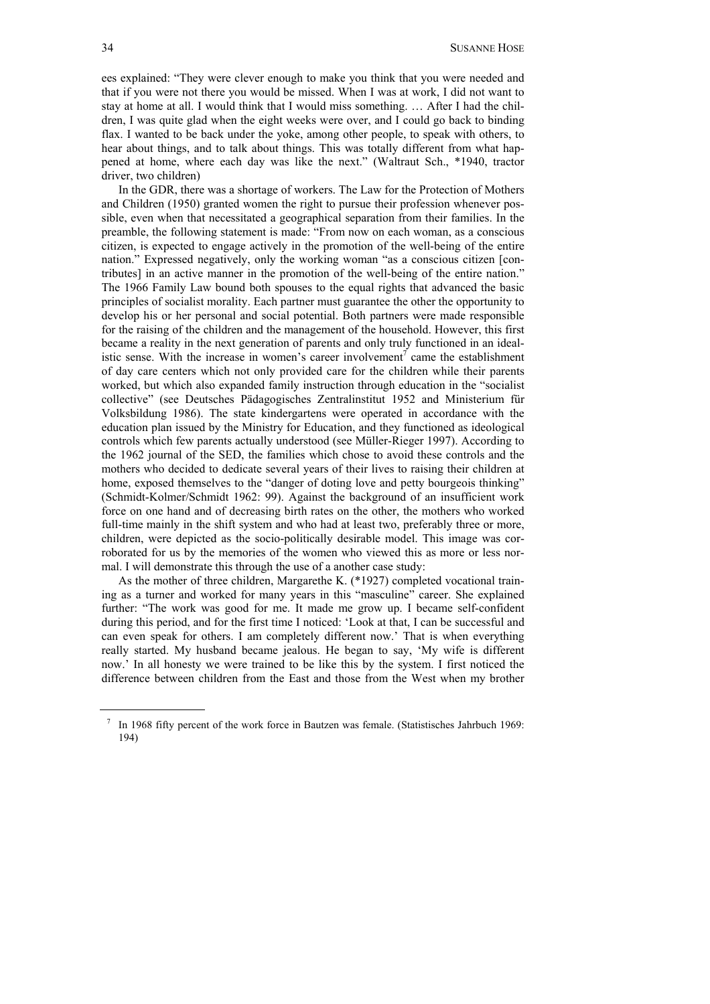ees explained: "They were clever enough to make you think that you were needed and that if you were not there you would be missed. When I was at work, I did not want to stay at home at all. I would think that I would miss something. … After I had the children, I was quite glad when the eight weeks were over, and I could go back to binding flax. I wanted to be back under the yoke, among other people, to speak with others, to hear about things, and to talk about things. This was totally different from what happened at home, where each day was like the next." (Waltraut Sch., \*1940, tractor driver, two children)

 In the GDR, there was a shortage of workers. The Law for the Protection of Mothers and Children (1950) granted women the right to pursue their profession whenever possible, even when that necessitated a geographical separation from their families. In the preamble, the following statement is made: "From now on each woman, as a conscious citizen, is expected to engage actively in the promotion of the well-being of the entire nation." Expressed negatively, only the working woman "as a conscious citizen [contributes] in an active manner in the promotion of the well-being of the entire nation." The 1966 Family Law bound both spouses to the equal rights that advanced the basic principles of socialist morality. Each partner must guarantee the other the opportunity to develop his or her personal and social potential. Both partners were made responsible for the raising of the children and the management of the household. However, this first became a reality in the next generation of parents and only truly functioned in an idealistic sense. With the increase in women's career involvement<sup>7</sup> came the establishment of day care centers which not only provided care for the children while their parents worked, but which also expanded family instruction through education in the "socialist collective" (see Deutsches Pädagogisches Zentralinstitut 1952 and Ministerium für Volksbildung 1986). The state kindergartens were operated in accordance with the education plan issued by the Ministry for Education, and they functioned as ideological controls which few parents actually understood (see Müller-Rieger 1997). According to the 1962 journal of the SED, the families which chose to avoid these controls and the mothers who decided to dedicate several years of their lives to raising their children at home, exposed themselves to the "danger of doting love and petty bourgeois thinking" (Schmidt-Kolmer/Schmidt 1962: 99). Against the background of an insufficient work force on one hand and of decreasing birth rates on the other, the mothers who worked full-time mainly in the shift system and who had at least two, preferably three or more, children, were depicted as the socio-politically desirable model. This image was corroborated for us by the memories of the women who viewed this as more or less normal. I will demonstrate this through the use of a another case study:

 As the mother of three children, Margarethe K. (\*1927) completed vocational training as a turner and worked for many years in this "masculine" career. She explained further: "The work was good for me. It made me grow up. I became self-confident during this period, and for the first time I noticed: 'Look at that, I can be successful and can even speak for others. I am completely different now.' That is when everything really started. My husband became jealous. He began to say, 'My wife is different now.' In all honesty we were trained to be like this by the system. I first noticed the difference between children from the East and those from the West when my brother

<sup>&</sup>lt;sup>7</sup> In 1968 fifty percent of the work force in Bautzen was female. (Statistisches Jahrbuch 1969: 194)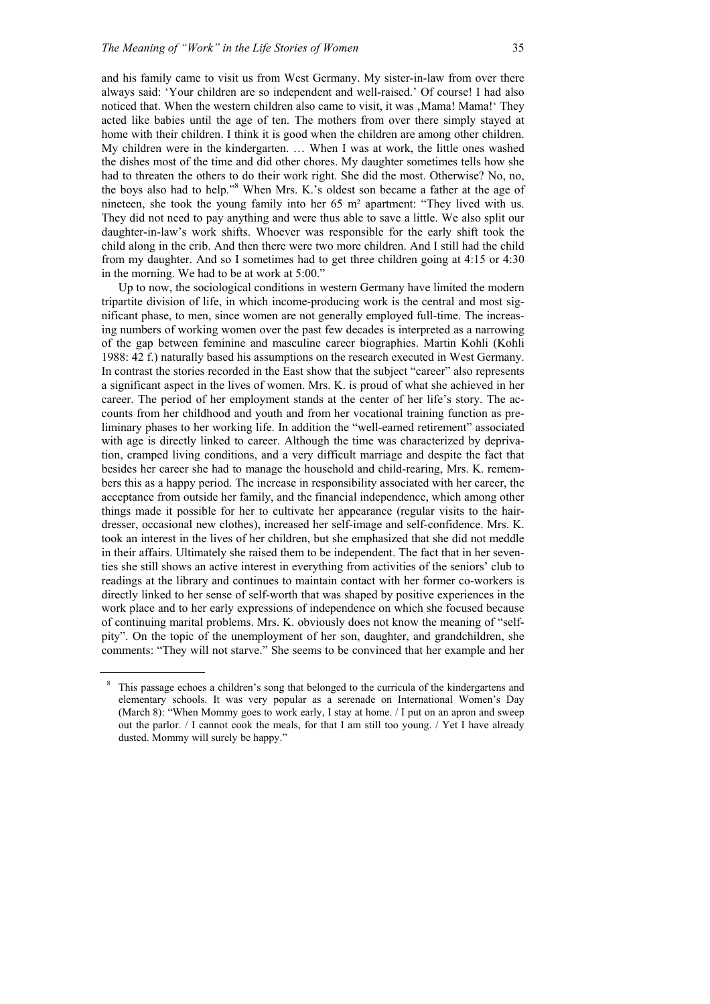and his family came to visit us from West Germany. My sister-in-law from over there always said: 'Your children are so independent and well-raised.' Of course! I had also noticed that. When the western children also came to visit, it was , Mama! Mama!' They acted like babies until the age of ten. The mothers from over there simply stayed at home with their children. I think it is good when the children are among other children. My children were in the kindergarten. … When I was at work, the little ones washed the dishes most of the time and did other chores. My daughter sometimes tells how she had to threaten the others to do their work right. She did the most. Otherwise? No, no, the boys also had to help."8 When Mrs. K.'s oldest son became a father at the age of nineteen, she took the young family into her 65 m² apartment: "They lived with us. They did not need to pay anything and were thus able to save a little. We also split our daughter-in-law's work shifts. Whoever was responsible for the early shift took the child along in the crib. And then there were two more children. And I still had the child from my daughter. And so I sometimes had to get three children going at 4:15 or 4:30 in the morning. We had to be at work at 5:00."

 Up to now, the sociological conditions in western Germany have limited the modern tripartite division of life, in which income-producing work is the central and most significant phase, to men, since women are not generally employed full-time. The increasing numbers of working women over the past few decades is interpreted as a narrowing of the gap between feminine and masculine career biographies. Martin Kohli (Kohli 1988: 42 f.) naturally based his assumptions on the research executed in West Germany. In contrast the stories recorded in the East show that the subject "career" also represents a significant aspect in the lives of women. Mrs. K. is proud of what she achieved in her career. The period of her employment stands at the center of her life's story. The accounts from her childhood and youth and from her vocational training function as preliminary phases to her working life. In addition the "well-earned retirement" associated with age is directly linked to career. Although the time was characterized by deprivation, cramped living conditions, and a very difficult marriage and despite the fact that besides her career she had to manage the household and child-rearing, Mrs. K. remembers this as a happy period. The increase in responsibility associated with her career, the acceptance from outside her family, and the financial independence, which among other things made it possible for her to cultivate her appearance (regular visits to the hairdresser, occasional new clothes), increased her self-image and self-confidence. Mrs. K. took an interest in the lives of her children, but she emphasized that she did not meddle in their affairs. Ultimately she raised them to be independent. The fact that in her seventies she still shows an active interest in everything from activities of the seniors' club to readings at the library and continues to maintain contact with her former co-workers is directly linked to her sense of self-worth that was shaped by positive experiences in the work place and to her early expressions of independence on which she focused because of continuing marital problems. Mrs. K. obviously does not know the meaning of "selfpity". On the topic of the unemployment of her son, daughter, and grandchildren, she comments: "They will not starve." She seems to be convinced that her example and her

8 This passage echoes a children's song that belonged to the curricula of the kindergartens and elementary schools. It was very popular as a serenade on International Women's Day (March 8): "When Mommy goes to work early, I stay at home. / I put on an apron and sweep out the parlor. / I cannot cook the meals, for that I am still too young. / Yet I have already dusted. Mommy will surely be happy."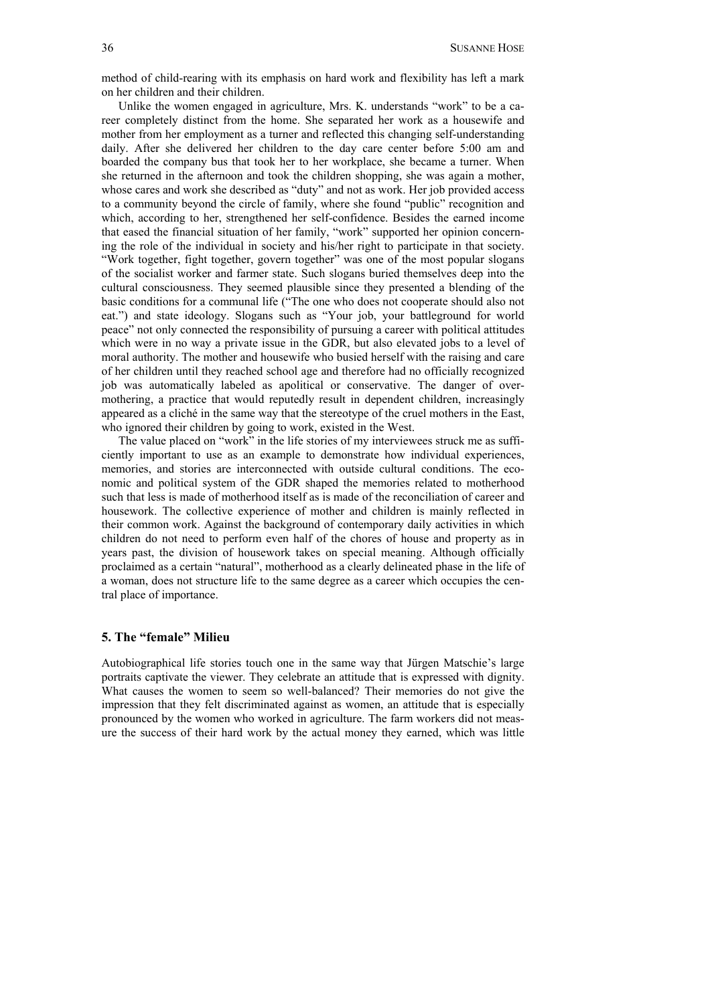method of child-rearing with its emphasis on hard work and flexibility has left a mark on her children and their children.

 Unlike the women engaged in agriculture, Mrs. K. understands "work" to be a career completely distinct from the home. She separated her work as a housewife and mother from her employment as a turner and reflected this changing self-understanding daily. After she delivered her children to the day care center before 5:00 am and boarded the company bus that took her to her workplace, she became a turner. When she returned in the afternoon and took the children shopping, she was again a mother, whose cares and work she described as "duty" and not as work. Her job provided access to a community beyond the circle of family, where she found "public" recognition and which, according to her, strengthened her self-confidence. Besides the earned income that eased the financial situation of her family, "work" supported her opinion concerning the role of the individual in society and his/her right to participate in that society. "Work together, fight together, govern together" was one of the most popular slogans of the socialist worker and farmer state. Such slogans buried themselves deep into the cultural consciousness. They seemed plausible since they presented a blending of the basic conditions for a communal life ("The one who does not cooperate should also not eat.") and state ideology. Slogans such as "Your job, your battleground for world peace" not only connected the responsibility of pursuing a career with political attitudes which were in no way a private issue in the GDR, but also elevated jobs to a level of moral authority. The mother and housewife who busied herself with the raising and care of her children until they reached school age and therefore had no officially recognized job was automatically labeled as apolitical or conservative. The danger of overmothering, a practice that would reputedly result in dependent children, increasingly appeared as a cliché in the same way that the stereotype of the cruel mothers in the East, who ignored their children by going to work, existed in the West.

 The value placed on "work" in the life stories of my interviewees struck me as sufficiently important to use as an example to demonstrate how individual experiences, memories, and stories are interconnected with outside cultural conditions. The economic and political system of the GDR shaped the memories related to motherhood such that less is made of motherhood itself as is made of the reconciliation of career and housework. The collective experience of mother and children is mainly reflected in their common work. Against the background of contemporary daily activities in which children do not need to perform even half of the chores of house and property as in years past, the division of housework takes on special meaning. Although officially proclaimed as a certain "natural", motherhood as a clearly delineated phase in the life of a woman, does not structure life to the same degree as a career which occupies the central place of importance.

### **5. The "female" Milieu**

Autobiographical life stories touch one in the same way that Jürgen Matschie's large portraits captivate the viewer. They celebrate an attitude that is expressed with dignity. What causes the women to seem so well-balanced? Their memories do not give the impression that they felt discriminated against as women, an attitude that is especially pronounced by the women who worked in agriculture. The farm workers did not measure the success of their hard work by the actual money they earned, which was little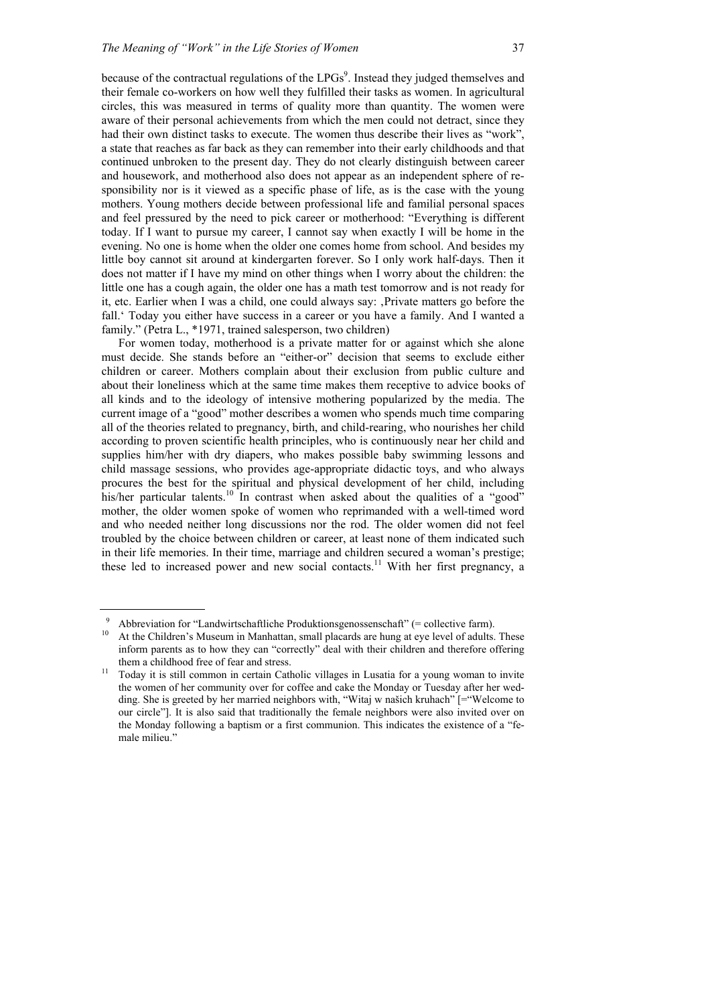because of the contractual regulations of the  $LPGs^9$ . Instead they judged themselves and their female co-workers on how well they fulfilled their tasks as women. In agricultural circles, this was measured in terms of quality more than quantity. The women were aware of their personal achievements from which the men could not detract, since they had their own distinct tasks to execute. The women thus describe their lives as "work" a state that reaches as far back as they can remember into their early childhoods and that continued unbroken to the present day. They do not clearly distinguish between career and housework, and motherhood also does not appear as an independent sphere of responsibility nor is it viewed as a specific phase of life, as is the case with the young mothers. Young mothers decide between professional life and familial personal spaces and feel pressured by the need to pick career or motherhood: "Everything is different today. If I want to pursue my career, I cannot say when exactly I will be home in the evening. No one is home when the older one comes home from school. And besides my little boy cannot sit around at kindergarten forever. So I only work half-days. Then it does not matter if I have my mind on other things when I worry about the children: the little one has a cough again, the older one has a math test tomorrow and is not ready for it, etc. Earlier when I was a child, one could always say: 'Private matters go before the fall.' Today you either have success in a career or you have a family. And I wanted a family." (Petra L., \*1971, trained salesperson, two children)

 For women today, motherhood is a private matter for or against which she alone must decide. She stands before an "either-or" decision that seems to exclude either children or career. Mothers complain about their exclusion from public culture and about their loneliness which at the same time makes them receptive to advice books of all kinds and to the ideology of intensive mothering popularized by the media. The current image of a "good" mother describes a women who spends much time comparing all of the theories related to pregnancy, birth, and child-rearing, who nourishes her child according to proven scientific health principles, who is continuously near her child and supplies him/her with dry diapers, who makes possible baby swimming lessons and child massage sessions, who provides age-appropriate didactic toys, and who always procures the best for the spiritual and physical development of her child, including his/her particular talents.<sup>10</sup> In contrast when asked about the qualities of a "good" mother, the older women spoke of women who reprimanded with a well-timed word and who needed neither long discussions nor the rod. The older women did not feel troubled by the choice between children or career, at least none of them indicated such in their life memories. In their time, marriage and children secured a woman's prestige; these led to increased power and new social contacts.<sup>11</sup> With her first pregnancy, a

<sup>&</sup>lt;sup>9</sup> Abbreviation for "Landwirtschaftliche Produktionsgenossenschaft" (= collective farm).<br><sup>10</sup> At the Children's Museum in Manhattan, small placards are hung at eye level of adults. These

inform parents as to how they can "correctly" deal with their children and therefore offering them a childhood free of fear and stress.<br><sup>11</sup> Today it is still common in certain Catholic villages in Lusatia for a young woman to invite

the women of her community over for coffee and cake the Monday or Tuesday after her wedding. She is greeted by her married neighbors with, "Witaj w našich kruhach" [="Welcome to our circle"]. It is also said that traditionally the female neighbors were also invited over on the Monday following a baptism or a first communion. This indicates the existence of a "female milieu."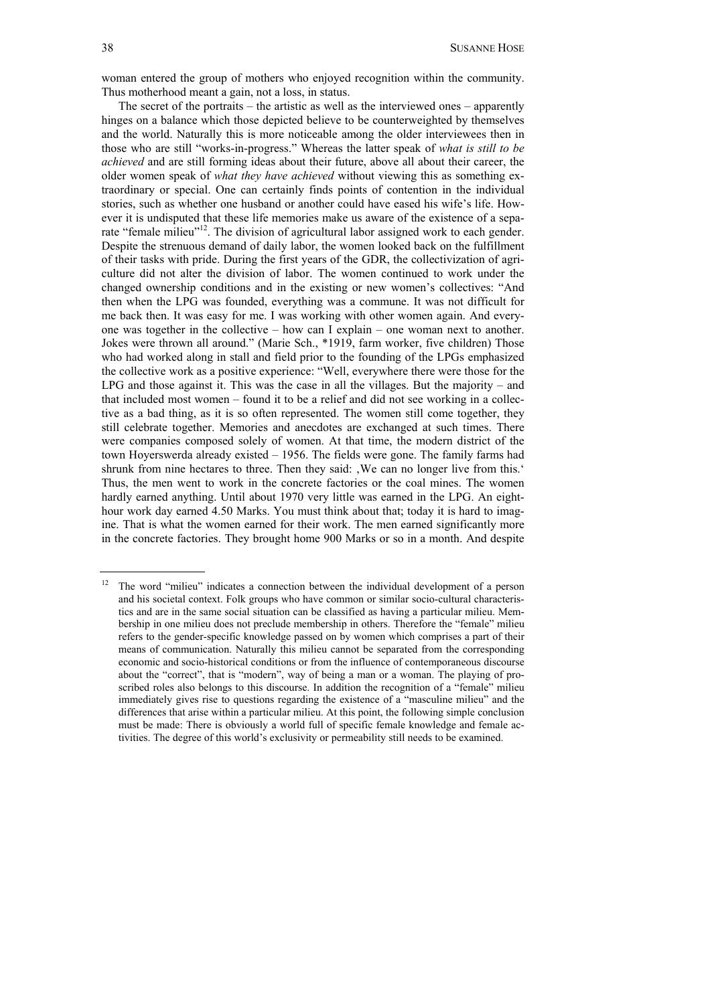woman entered the group of mothers who enjoyed recognition within the community. Thus motherhood meant a gain, not a loss, in status.

 The secret of the portraits – the artistic as well as the interviewed ones – apparently hinges on a balance which those depicted believe to be counterweighted by themselves and the world. Naturally this is more noticeable among the older interviewees then in those who are still "works-in-progress." Whereas the latter speak of *what is still to be achieved* and are still forming ideas about their future, above all about their career, the older women speak of *what they have achieved* without viewing this as something extraordinary or special. One can certainly finds points of contention in the individual stories, such as whether one husband or another could have eased his wife's life. However it is undisputed that these life memories make us aware of the existence of a separate "female milieu"<sup>12</sup>. The division of agricultural labor assigned work to each gender. Despite the strenuous demand of daily labor, the women looked back on the fulfillment of their tasks with pride. During the first years of the GDR, the collectivization of agriculture did not alter the division of labor. The women continued to work under the changed ownership conditions and in the existing or new women's collectives: "And then when the LPG was founded, everything was a commune. It was not difficult for me back then. It was easy for me. I was working with other women again. And everyone was together in the collective – how can I explain – one woman next to another. Jokes were thrown all around." (Marie Sch., \*1919, farm worker, five children) Those who had worked along in stall and field prior to the founding of the LPGs emphasized the collective work as a positive experience: "Well, everywhere there were those for the LPG and those against it. This was the case in all the villages. But the majority – and that included most women – found it to be a relief and did not see working in a collective as a bad thing, as it is so often represented. The women still come together, they still celebrate together. Memories and anecdotes are exchanged at such times. There were companies composed solely of women. At that time, the modern district of the town Hoyerswerda already existed – 1956. The fields were gone. The family farms had shrunk from nine hectares to three. Then they said: , We can no longer live from this.' Thus, the men went to work in the concrete factories or the coal mines. The women hardly earned anything. Until about 1970 very little was earned in the LPG. An eighthour work day earned 4.50 Marks. You must think about that; today it is hard to imagine. That is what the women earned for their work. The men earned significantly more in the concrete factories. They brought home 900 Marks or so in a month. And despite

 $12$  The word "milieu" indicates a connection between the individual development of a person and his societal context. Folk groups who have common or similar socio-cultural characteristics and are in the same social situation can be classified as having a particular milieu. Membership in one milieu does not preclude membership in others. Therefore the "female" milieu refers to the gender-specific knowledge passed on by women which comprises a part of their means of communication. Naturally this milieu cannot be separated from the corresponding economic and socio-historical conditions or from the influence of contemporaneous discourse about the "correct", that is "modern", way of being a man or a woman. The playing of proscribed roles also belongs to this discourse. In addition the recognition of a "female" milieu immediately gives rise to questions regarding the existence of a "masculine milieu" and the differences that arise within a particular milieu. At this point, the following simple conclusion must be made: There is obviously a world full of specific female knowledge and female activities. The degree of this world's exclusivity or permeability still needs to be examined.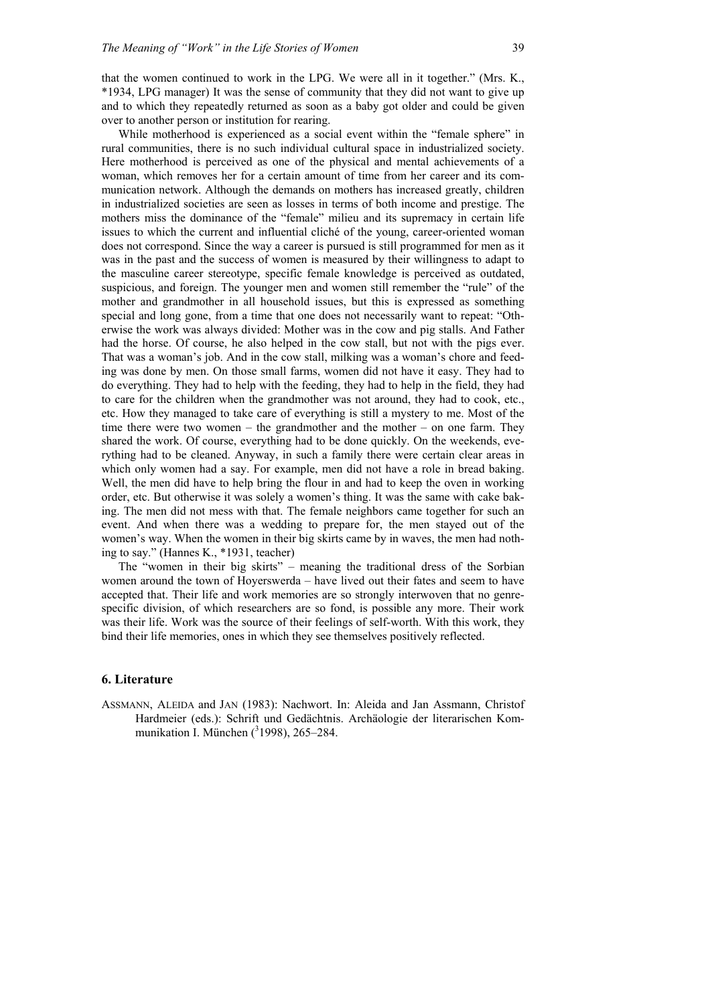that the women continued to work in the LPG. We were all in it together." (Mrs. K., \*1934, LPG manager) It was the sense of community that they did not want to give up and to which they repeatedly returned as soon as a baby got older and could be given over to another person or institution for rearing.

 While motherhood is experienced as a social event within the "female sphere" in rural communities, there is no such individual cultural space in industrialized society. Here motherhood is perceived as one of the physical and mental achievements of a woman, which removes her for a certain amount of time from her career and its communication network. Although the demands on mothers has increased greatly, children in industrialized societies are seen as losses in terms of both income and prestige. The mothers miss the dominance of the "female" milieu and its supremacy in certain life issues to which the current and influential cliché of the young, career-oriented woman does not correspond. Since the way a career is pursued is still programmed for men as it was in the past and the success of women is measured by their willingness to adapt to the masculine career stereotype, specific female knowledge is perceived as outdated, suspicious, and foreign. The younger men and women still remember the "rule" of the mother and grandmother in all household issues, but this is expressed as something special and long gone, from a time that one does not necessarily want to repeat: "Otherwise the work was always divided: Mother was in the cow and pig stalls. And Father had the horse. Of course, he also helped in the cow stall, but not with the pigs ever. That was a woman's job. And in the cow stall, milking was a woman's chore and feeding was done by men. On those small farms, women did not have it easy. They had to do everything. They had to help with the feeding, they had to help in the field, they had to care for the children when the grandmother was not around, they had to cook, etc., etc. How they managed to take care of everything is still a mystery to me. Most of the time there were two women – the grandmother and the mother – on one farm. They shared the work. Of course, everything had to be done quickly. On the weekends, everything had to be cleaned. Anyway, in such a family there were certain clear areas in which only women had a say. For example, men did not have a role in bread baking. Well, the men did have to help bring the flour in and had to keep the oven in working order, etc. But otherwise it was solely a women's thing. It was the same with cake baking. The men did not mess with that. The female neighbors came together for such an event. And when there was a wedding to prepare for, the men stayed out of the women's way. When the women in their big skirts came by in waves, the men had nothing to say." (Hannes K., \*1931, teacher)

 The "women in their big skirts" – meaning the traditional dress of the Sorbian women around the town of Hoyerswerda – have lived out their fates and seem to have accepted that. Their life and work memories are so strongly interwoven that no genrespecific division, of which researchers are so fond, is possible any more. Their work was their life. Work was the source of their feelings of self-worth. With this work, they bind their life memories, ones in which they see themselves positively reflected.

#### **6. Literature**

ASSMANN, ALEIDA and JAN (1983): Nachwort. In: Aleida and Jan Assmann, Christof Hardmeier (eds.): Schrift und Gedächtnis. Archäologie der literarischen Kommunikation I. München  $(^31998)$ , 265–284.